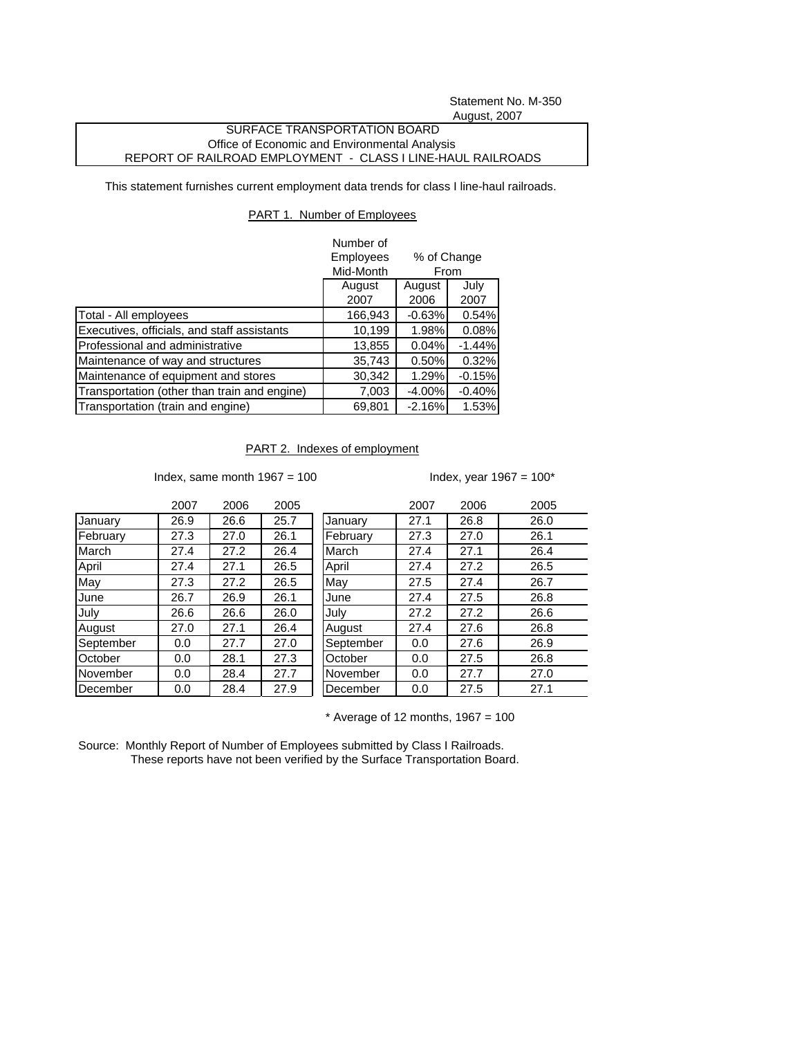Statement No. M-350 August, 2007

## SURFACE TRANSPORTATION BOARD Office of Economic and Environmental Analysis REPORT OF RAILROAD EMPLOYMENT - CLASS I LINE-HAUL RAILROADS

This statement furnishes current employment data trends for class I line-haul railroads.

## PART 1. Number of Employees

|                                              | Number of<br>Employees<br>% of Change<br>Mid-Month<br>From |                |              |
|----------------------------------------------|------------------------------------------------------------|----------------|--------------|
|                                              | August<br>2007                                             | August<br>2006 | July<br>2007 |
| Total - All employees                        | 166,943                                                    | $-0.63%$       | 0.54%        |
| Executives, officials, and staff assistants  | 10,199                                                     | 1.98%          | 0.08%        |
| Professional and administrative              | 13,855                                                     | 0.04%          | $-1.44%$     |
| Maintenance of way and structures            | 35,743                                                     | 0.50%          | 0.32%        |
| Maintenance of equipment and stores          | 30,342                                                     | 1.29%          | $-0.15%$     |
| Transportation (other than train and engine) | 7,003                                                      | $-4.00%$       | $-0.40%$     |
| Transportation (train and engine)            | 69,801                                                     | $-2.16%$       | 1.53%        |

PART 2. Indexes of employment

Index, same month  $1967 = 100$  Index, year  $1967 = 100^*$ 

|           | 2007 | 2006 | 2005 |           | 2007 | 2006 | 2005 |
|-----------|------|------|------|-----------|------|------|------|
| January   | 26.9 | 26.6 | 25.7 | January   | 27.1 | 26.8 | 26.0 |
| February  | 27.3 | 27.0 | 26.1 | February  | 27.3 | 27.0 | 26.1 |
| March     | 27.4 | 27.2 | 26.4 | March     | 27.4 | 27.1 | 26.4 |
| April     | 27.4 | 27.1 | 26.5 | April     | 27.4 | 27.2 | 26.5 |
| May       | 27.3 | 27.2 | 26.5 | May       | 27.5 | 27.4 | 26.7 |
| June      | 26.7 | 26.9 | 26.1 | June      | 27.4 | 27.5 | 26.8 |
| July      | 26.6 | 26.6 | 26.0 | July      | 27.2 | 27.2 | 26.6 |
| August    | 27.0 | 27.1 | 26.4 | August    | 27.4 | 27.6 | 26.8 |
| September | 0.0  | 27.7 | 27.0 | September | 0.0  | 27.6 | 26.9 |
| October   | 0.0  | 28.1 | 27.3 | October   | 0.0  | 27.5 | 26.8 |
| November  | 0.0  | 28.4 | 27.7 | November  | 0.0  | 27.7 | 27.0 |
| December  | 0.0  | 28.4 | 27.9 | December  | 0.0  | 27.5 | 27.1 |

 $*$  Average of 12 months, 1967 = 100

Source: Monthly Report of Number of Employees submitted by Class I Railroads. These reports have not been verified by the Surface Transportation Board.